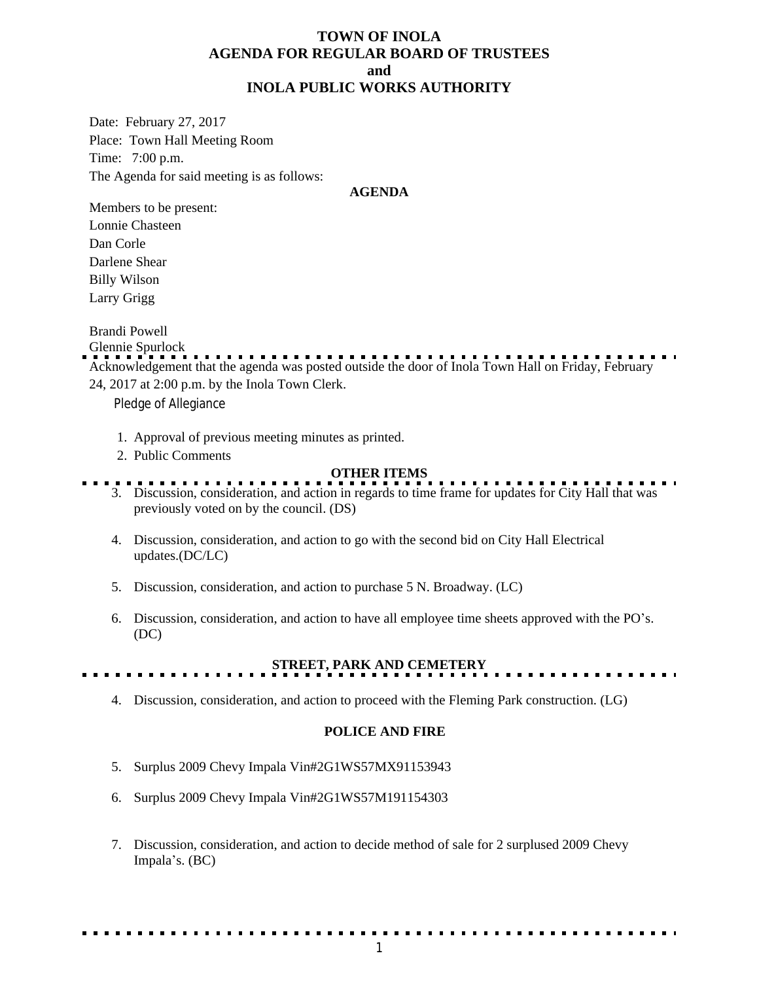### **TOWN OF INOLA AGENDA FOR REGULAR BOARD OF TRUSTEES and INOLA PUBLIC WORKS AUTHORITY**

Date: February 27, 2017 Place: Town Hall Meeting Room Time: 7:00 p.m. The Agenda for said meeting is as follows:

#### **AGENDA**

Members to be present: Lonnie Chasteen Dan Corle Darlene Shear Billy Wilson Larry Grigg

Brandi Powell

Glennie Spurlock Acknowledgement that the agenda was posted outside the door of Inola Town Hall on Friday, February 24, 2017 at 2:00 p.m. by the Inola Town Clerk.

Pledge of Allegiance

- 1. Approval of previous meeting minutes as printed.
- 2. Public Comments

### **OTHER ITEMS**

- 3. Discussion, consideration, and action in regards to time frame for updates for City Hall that was previously voted on by the council. (DS)
- 4. Discussion, consideration, and action to go with the second bid on City Hall Electrical updates.(DC/LC)

5. Discussion, consideration, and action to purchase 5 N. Broadway. (LC)

6. Discussion, consideration, and action to have all employee time sheets approved with the PO's. (DC)

### **STREET, PARK AND CEMETERY**

4. Discussion, consideration, and action to proceed with the Fleming Park construction. (LG)

### **POLICE AND FIRE**

- 5. Surplus 2009 Chevy Impala Vin#2G1WS57MX91153943
- 6. Surplus 2009 Chevy Impala Vin#2G1WS57M191154303
- 7. Discussion, consideration, and action to decide method of sale for 2 surplused 2009 Chevy Impala's. (BC)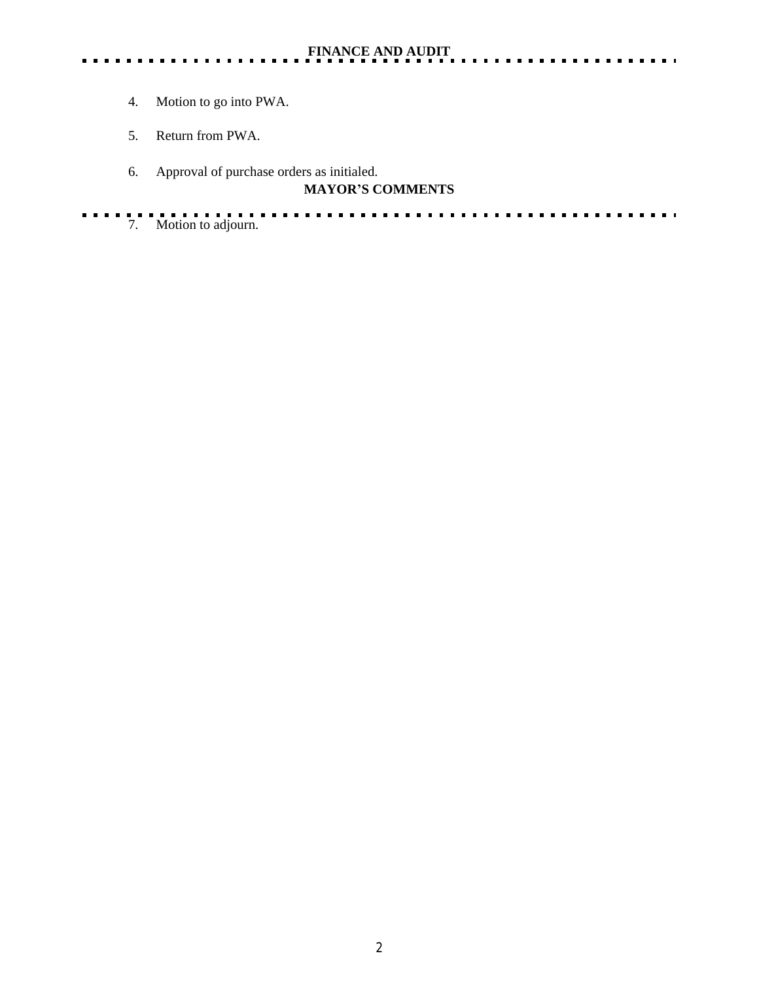$\frac{1}{2} \left( \frac{1}{2} \right) \left( \frac{1}{2} \right) \left( \frac{1}{2} \right) \left( \frac{1}{2} \right)$ 

. . . . . .

- 4. Motion to go into PWA.
- 5. Return from PWA.
- 6. Approval of purchase orders as initialed.

# **MAYOR'S COMMENTS**

. . . . . . . . . . . . . . . . . . . 7. Motion to adjourn. $\sim 100$  km s  $^{-1}$ . . . .